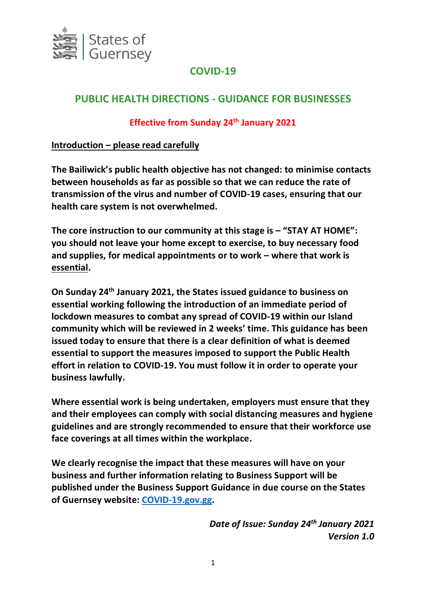

# **COVID-19**

# **PUBLIC HEALTH DIRECTIONS - GUIDANCE FOR BUSINESSES**

# **Effective from Sunday 24th January 2021**

# **Introduction – please read carefully**

**The Bailiwick's public health objective has not changed: to minimise contacts between households as far as possible so that we can reduce the rate of transmission of the virus and number of COVID-19 cases, ensuring that our health care system is not overwhelmed.** 

**The core instruction to our community at this stage is – "STAY AT HOME": you should not leave your home except to exercise, to buy necessary food and supplies, for medical appointments or to work – where that work is essential.**

**On Sunday 24th January 2021, the States issued guidance to business on essential working following the introduction of an immediate period of lockdown measures to combat any spread of COVID-19 within our Island community which will be reviewed in 2 weeks' time. This guidance has been issued today to ensure that there is a clear definition of what is deemed essential to support the measures imposed to support the Public Health effort in relation to COVID-19. You must follow it in order to operate your business lawfully.**

**Where essential work is being undertaken, employers must ensure that they and their employees can comply with social distancing measures and hygiene guidelines and are strongly recommended to ensure that their workforce use face coverings at all times within the workplace.**

**We clearly recognise the impact that these measures will have on your business and further information relating to Business Support will be published under the Business Support Guidance in due course on the States of Guernsey website: [COVID-19.gov.gg.](https://covid19.gov.gg/)**

> *Date of Issue: Sunday 24th January 2021 Version 1.0*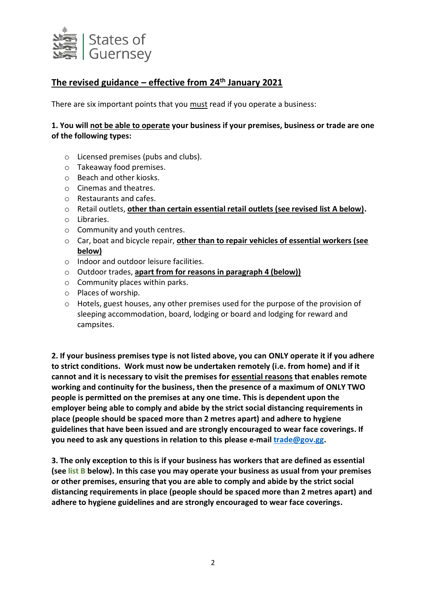

# **The revised guidance – effective from 24th January 2021**

There are six important points that you must read if you operate a business:

#### **1. You will not be able to operate your business if your premises, business or trade are one of the following types:**

- o Licensed premises (pubs and clubs).
- o Takeaway food premises.
- o Beach and other kiosks.
- o Cinemas and theatres.
- o Restaurants and cafes.
- o Retail outlets, **other than certain essential retail outlets (see revised list A below).**
- o Libraries.
- o Community and youth centres.
- o Car, boat and bicycle repair, **other than to repair vehicles of essential workers (see below)**
- o Indoor and outdoor leisure facilities.
- o Outdoor trades, **apart from for reasons in paragraph 4 (below))**
- o Community places within parks.
- o Places of worship.
- o Hotels, guest houses, any other premises used for the purpose of the provision of sleeping accommodation, board, lodging or board and lodging for reward and campsites.

**2. If your business premises type is not listed above, you can ONLY operate it if you adhere to strict conditions. Work must now be undertaken remotely (i.e. from home) and if it cannot and it is necessary to visit the premises for essential reasons that enables remote working and continuity for the business, then the presence of a maximum of ONLY TWO people is permitted on the premises at any one time. This is dependent upon the employer being able to comply and abide by the strict social distancing requirements in place (people should be spaced more than 2 metres apart) and adhere to hygiene guidelines that have been issued and are strongly encouraged to wear face coverings. If you need to ask any questions in relation to this please e-mail [trade@gov.gg.](mailto:trade@gov.gg)**

**3. The only exception to this is if your business has workers that are defined as essential (see list B below). In this case you may operate your business as usual from your premises or other premises, ensuring that you are able to comply and abide by the strict social distancing requirements in place (people should be spaced more than 2 metres apart) and adhere to hygiene guidelines and are strongly encouraged to wear face coverings.**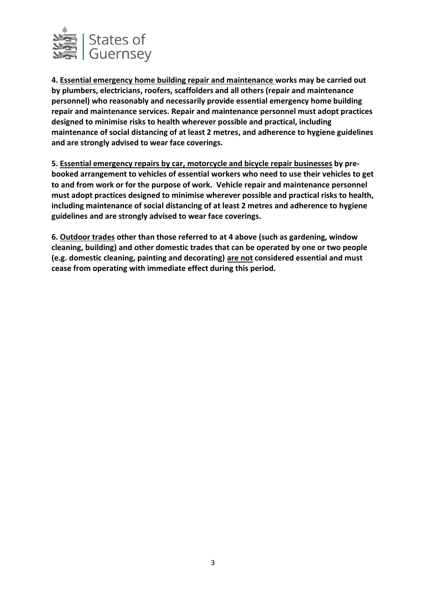

**4. Essential emergency home building repair and maintenance works may be carried out by plumbers, electricians, roofers, scaffolders and all others (repair and maintenance personnel) who reasonably and necessarily provide essential emergency home building repair and maintenance services. Repair and maintenance personnel must adopt practices designed to minimise risks to health wherever possible and practical, including maintenance of social distancing of at least 2 metres, and adherence to hygiene guidelines and are strongly advised to wear face coverings.**

**5. Essential emergency repairs by car, motorcycle and bicycle repair businesses by prebooked arrangement to vehicles of essential workers who need to use their vehicles to get to and from work or for the purpose of work. Vehicle repair and maintenance personnel must adopt practices designed to minimise wherever possible and practical risks to health, including maintenance of social distancing of at least 2 metres and adherence to hygiene guidelines and are strongly advised to wear face coverings.**

**6. Outdoor trades other than those referred to at 4 above (such as gardening, window cleaning, building) and other domestic trades that can be operated by one or two people (e.g. domestic cleaning, painting and decorating) are not considered essential and must cease from operating with immediate effect during this period.**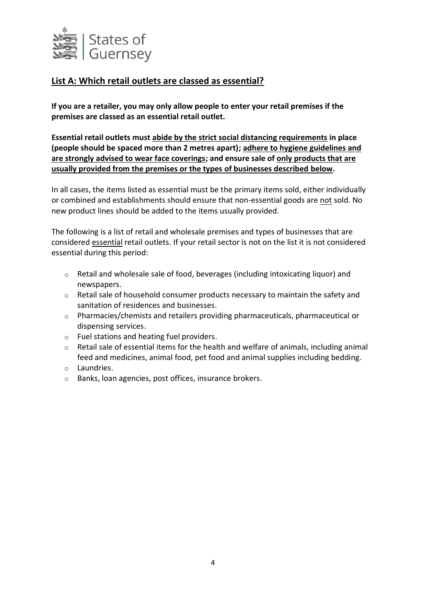

# **List A: Which retail outlets are classed as essential?**

**If you are a retailer, you may only allow people to enter your retail premises if the premises are classed as an essential retail outlet.** 

**Essential retail outlets must abide by the strict social distancing requirements in place (people should be spaced more than 2 metres apart); adhere to hygiene guidelines and are strongly advised to wear face coverings; and ensure sale of only products that are usually provided from the premises or the types of businesses described below.** 

In all cases, the items listed as essential must be the primary items sold, either individually or combined and establishments should ensure that non-essential goods are not sold. No new product lines should be added to the items usually provided.

The following is a list of retail and wholesale premises and types of businesses that are considered essential retail outlets. If your retail sector is not on the list it is not considered essential during this period:

- o Retail and wholesale sale of food, beverages (including intoxicating liquor) and newspapers.
- o Retail sale of household consumer products necessary to maintain the safety and sanitation of residences and businesses.
- o Pharmacies/chemists and retailers providing pharmaceuticals, pharmaceutical or dispensing services.
- o Fuel stations and heating fuel providers.
- o Retail sale of essential items for the health and welfare of animals, including animal feed and medicines, animal food, pet food and animal supplies including bedding.
- o Laundries.
- o Banks, loan agencies, post offices, insurance brokers.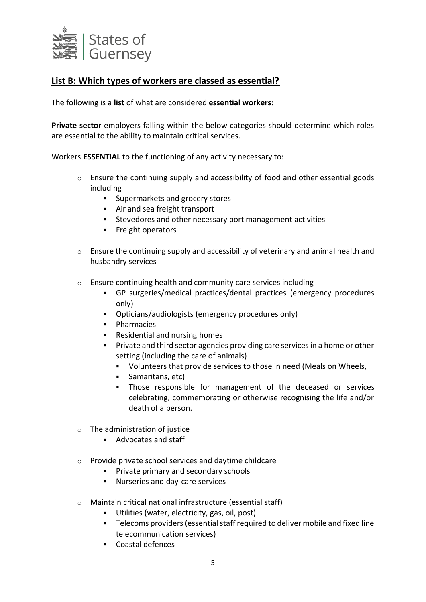

# **List B: Which types of workers are classed as essential?**

The following is a **list** of what are considered **essential workers:**

**Private sector** employers falling within the below categories should determine which roles are essential to the ability to maintain critical services.

Workers **ESSENTIAL** to the functioning of any activity necessary to:

- $\circ$  Ensure the continuing supply and accessibility of food and other essential goods including
	- **Supermarkets and grocery stores**
	- Air and sea freight transport
	- Stevedores and other necessary port management activities
	- **Freight operators**
- $\circ$  Ensure the continuing supply and accessibility of veterinary and animal health and husbandry services
- o Ensure continuing health and community care services including
	- GP surgeries/medical practices/dental practices (emergency procedures only)
	- Opticians/audiologists (emergency procedures only)
	- **•** Pharmacies
	- Residential and nursing homes
	- **Private and third sector agencies providing care services in a home or other** setting (including the care of animals)
		- Volunteers that provide services to those in need (Meals on Wheels,
		- Samaritans, etc)
		- Those responsible for management of the deceased or services celebrating, commemorating or otherwise recognising the life and/or death of a person.
- $\circ$  The administration of justice
	- Advocates and staff
- o Provide private school services and daytime childcare
	- **Private primary and secondary schools**
	- Nurseries and day-care services
- o Maintain critical national infrastructure (essential staff)
	- Utilities (water, electricity, gas, oil, post)
	- Telecoms providers (essential staff required to deliver mobile and fixed line telecommunication services)
	- Coastal defences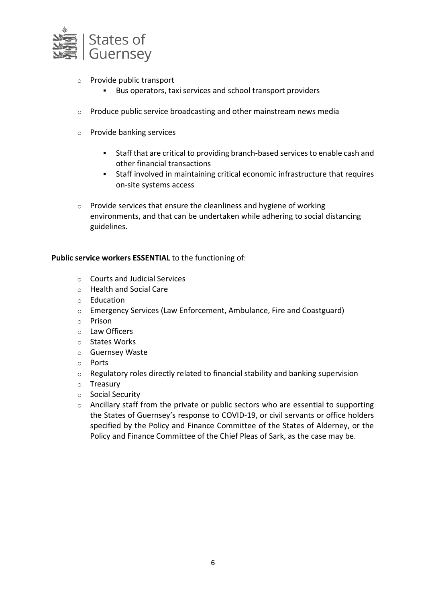

- o Provide public transport
	- Bus operators, taxi services and school transport providers
- o Produce public service broadcasting and other mainstream news media
- o Provide banking services
	- Staff that are critical to providing branch-based services to enable cash and other financial transactions
	- Staff involved in maintaining critical economic infrastructure that requires on-site systems access
- o Provide services that ensure the cleanliness and hygiene of working environments, and that can be undertaken while adhering to social distancing guidelines.

#### **Public service workers ESSENTIAL** to the functioning of:

- o Courts and Judicial Services
- o Health and Social Care
- o Education
- o Emergency Services (Law Enforcement, Ambulance, Fire and Coastguard)
- o Prison
- o Law Officers
- o States Works
- o Guernsey Waste
- o Ports
- o Regulatory roles directly related to financial stability and banking supervision
- o Treasury
- o Social Security
- o Ancillary staff from the private or public sectors who are essential to supporting the States of Guernsey's response to COVID-19, or civil servants or office holders specified by the Policy and Finance Committee of the States of Alderney, or the Policy and Finance Committee of the Chief Pleas of Sark, as the case may be.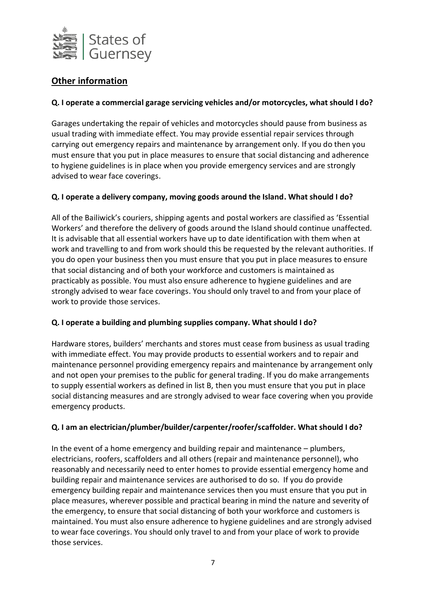

# **Other information**

# **Q. I operate a commercial garage servicing vehicles and/or motorcycles, what should I do?**

Garages undertaking the repair of vehicles and motorcycles should pause from business as usual trading with immediate effect. You may provide essential repair services through carrying out emergency repairs and maintenance by arrangement only. If you do then you must ensure that you put in place measures to ensure that social distancing and adherence to hygiene guidelines is in place when you provide emergency services and are strongly advised to wear face coverings.

## **Q. I operate a delivery company, moving goods around the Island. What should I do?**

All of the Bailiwick's couriers, shipping agents and postal workers are classified as 'Essential Workers' and therefore the delivery of goods around the Island should continue unaffected. It is advisable that all essential workers have up to date identification with them when at work and travelling to and from work should this be requested by the relevant authorities. If you do open your business then you must ensure that you put in place measures to ensure that social distancing and of both your workforce and customers is maintained as practicably as possible. You must also ensure adherence to hygiene guidelines and are strongly advised to wear face coverings. You should only travel to and from your place of work to provide those services.

## **Q. I operate a building and plumbing supplies company. What should I do?**

Hardware stores, builders' merchants and stores must cease from business as usual trading with immediate effect. You may provide products to essential workers and to repair and maintenance personnel providing emergency repairs and maintenance by arrangement only and not open your premises to the public for general trading. If you do make arrangements to supply essential workers as defined in list B, then you must ensure that you put in place social distancing measures and are strongly advised to wear face covering when you provide emergency products.

## **Q. I am an electrician/plumber/builder/carpenter/roofer/scaffolder. What should I do?**

In the event of a home emergency and building repair and maintenance – plumbers, electricians, roofers, scaffolders and all others (repair and maintenance personnel), who reasonably and necessarily need to enter homes to provide essential emergency home and building repair and maintenance services are authorised to do so. If you do provide emergency building repair and maintenance services then you must ensure that you put in place measures, wherever possible and practical bearing in mind the nature and severity of the emergency, to ensure that social distancing of both your workforce and customers is maintained. You must also ensure adherence to hygiene guidelines and are strongly advised to wear face coverings. You should only travel to and from your place of work to provide those services.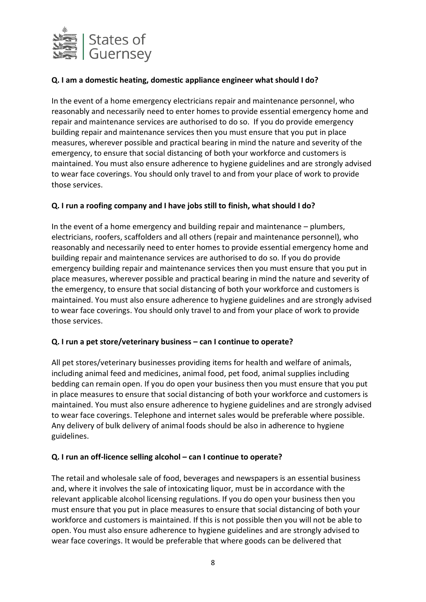

# **Q. I am a domestic heating, domestic appliance engineer what should I do?**

In the event of a home emergency electricians repair and maintenance personnel, who reasonably and necessarily need to enter homes to provide essential emergency home and repair and maintenance services are authorised to do so. If you do provide emergency building repair and maintenance services then you must ensure that you put in place measures, wherever possible and practical bearing in mind the nature and severity of the emergency, to ensure that social distancing of both your workforce and customers is maintained. You must also ensure adherence to hygiene guidelines and are strongly advised to wear face coverings. You should only travel to and from your place of work to provide those services.

## **Q. I run a roofing company and I have jobs still to finish, what should I do?**

In the event of a home emergency and building repair and maintenance – plumbers, electricians, roofers, scaffolders and all others (repair and maintenance personnel), who reasonably and necessarily need to enter homes to provide essential emergency home and building repair and maintenance services are authorised to do so. If you do provide emergency building repair and maintenance services then you must ensure that you put in place measures, wherever possible and practical bearing in mind the nature and severity of the emergency, to ensure that social distancing of both your workforce and customers is maintained. You must also ensure adherence to hygiene guidelines and are strongly advised to wear face coverings. You should only travel to and from your place of work to provide those services.

#### **Q. I run a pet store/veterinary business – can I continue to operate?**

All pet stores/veterinary businesses providing items for health and welfare of animals, including animal feed and medicines, animal food, pet food, animal supplies including bedding can remain open. If you do open your business then you must ensure that you put in place measures to ensure that social distancing of both your workforce and customers is maintained. You must also ensure adherence to hygiene guidelines and are strongly advised to wear face coverings. Telephone and internet sales would be preferable where possible. Any delivery of bulk delivery of animal foods should be also in adherence to hygiene guidelines.

#### **Q. I run an off-licence selling alcohol – can I continue to operate?**

The retail and wholesale sale of food, beverages and newspapers is an essential business and, where it involves the sale of intoxicating liquor, must be in accordance with the relevant applicable alcohol licensing regulations. If you do open your business then you must ensure that you put in place measures to ensure that social distancing of both your workforce and customers is maintained. If this is not possible then you will not be able to open. You must also ensure adherence to hygiene guidelines and are strongly advised to wear face coverings. It would be preferable that where goods can be delivered that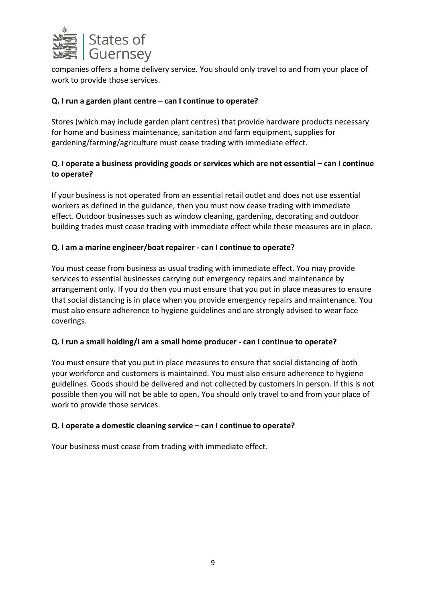

companies offers a home delivery service. You should only travel to and from your place of work to provide those services.

# **Q. I run a garden plant centre – can I continue to operate?**

Stores (which may include garden plant centres) that provide hardware products necessary for home and business maintenance, sanitation and farm equipment, supplies for gardening/farming/agriculture must cease trading with immediate effect.

# **Q.** I operate a business providing goods or services which are not essential – can I continue **to operate?**

If your business is not operated from an essential retail outlet and does not use essential workers as defined in the guidance, then you must now cease trading with immediate effect. Outdoor businesses such as window cleaning, gardening, decorating and outdoor building trades must cease trading with immediate effect while these measures are in place.

## **Q. I am a marine engineer/boat repairer - can I continue to operate?**

You must cease from business as usual trading with immediate effect. You may provide services to essential businesses carrying out emergency repairs and maintenance by arrangement only. If you do then you must ensure that you put in place measures to ensure that social distancing is in place when you provide emergency repairs and maintenance. You must also ensure adherence to hygiene guidelines and are strongly advised to wear face coverings.

## **Q. I run a small holding/I am a small home producer - can I continue to operate?**

You must ensure that you put in place measures to ensure that social distancing of both your workforce and customers is maintained. You must also ensure adherence to hygiene guidelines. Goods should be delivered and not collected by customers in person. If this is not possible then you will not be able to open. You should only travel to and from your place of work to provide those services.

## **Q. I operate a domestic cleaning service – can I continue to operate?**

Your business must cease from trading with immediate effect.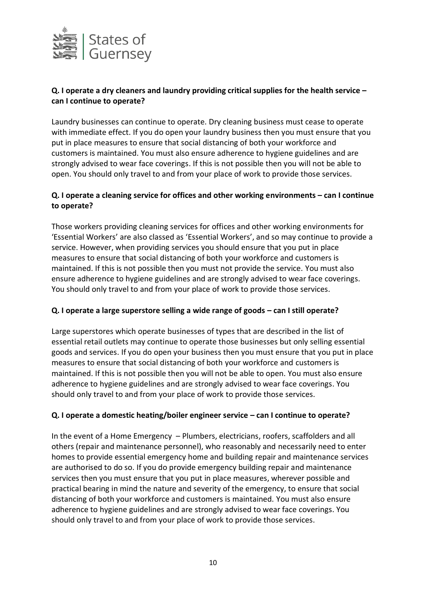

# **Q. I operate a dry cleaners and laundry providing critical supplies for the health service – can I continue to operate?**

Laundry businesses can continue to operate. Dry cleaning business must cease to operate with immediate effect. If you do open your laundry business then you must ensure that you put in place measures to ensure that social distancing of both your workforce and customers is maintained. You must also ensure adherence to hygiene guidelines and are strongly advised to wear face coverings. If this is not possible then you will not be able to open. You should only travel to and from your place of work to provide those services.

# **Q. I operate a cleaning service for offices and other working environments – can I continue to operate?**

Those workers providing cleaning services for offices and other working environments for 'Essential Workers' are also classed as 'Essential Workers', and so may continue to provide a service. However, when providing services you should ensure that you put in place measures to ensure that social distancing of both your workforce and customers is maintained. If this is not possible then you must not provide the service. You must also ensure adherence to hygiene guidelines and are strongly advised to wear face coverings. You should only travel to and from your place of work to provide those services.

## **Q. I operate a large superstore selling a wide range of goods – can I still operate?**

Large superstores which operate businesses of types that are described in the list of essential retail outlets may continue to operate those businesses but only selling essential goods and services. If you do open your business then you must ensure that you put in place measures to ensure that social distancing of both your workforce and customers is maintained. If this is not possible then you will not be able to open. You must also ensure adherence to hygiene guidelines and are strongly advised to wear face coverings. You should only travel to and from your place of work to provide those services.

## **Q. I operate a domestic heating/boiler engineer service – can I continue to operate?**

In the event of a Home Emergency – Plumbers, electricians, roofers, scaffolders and all others (repair and maintenance personnel), who reasonably and necessarily need to enter homes to provide essential emergency home and building repair and maintenance services are authorised to do so. If you do provide emergency building repair and maintenance services then you must ensure that you put in place measures, wherever possible and practical bearing in mind the nature and severity of the emergency, to ensure that social distancing of both your workforce and customers is maintained. You must also ensure adherence to hygiene guidelines and are strongly advised to wear face coverings. You should only travel to and from your place of work to provide those services.